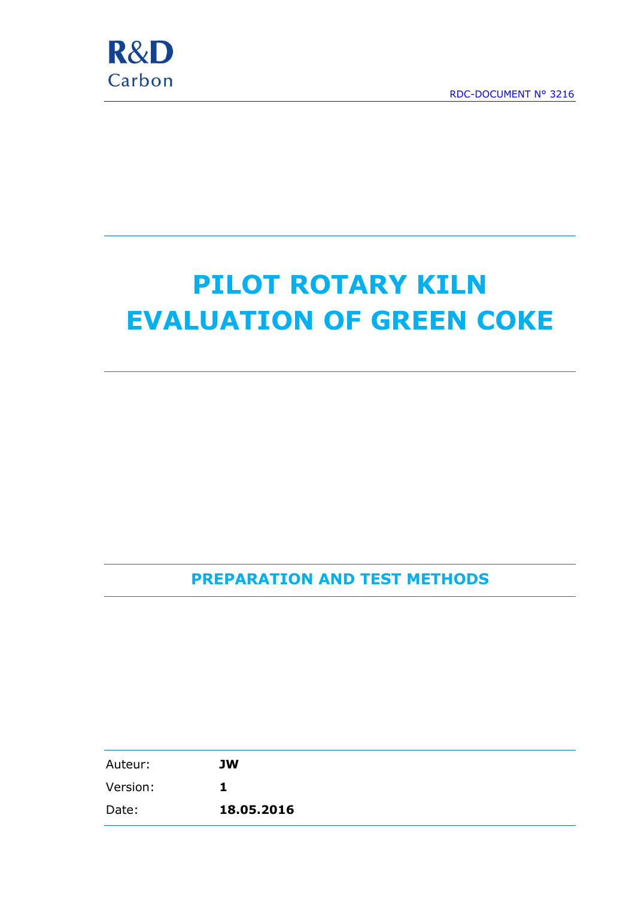

# **PILOT ROTARY KILN EVALUATION OF GREEN COKE**

**PREPARATION AND TEST METHODS**

| Auteur:  | <b>JW</b>  |
|----------|------------|
| Version: | Ъ          |
| Date:    | 18.05.2016 |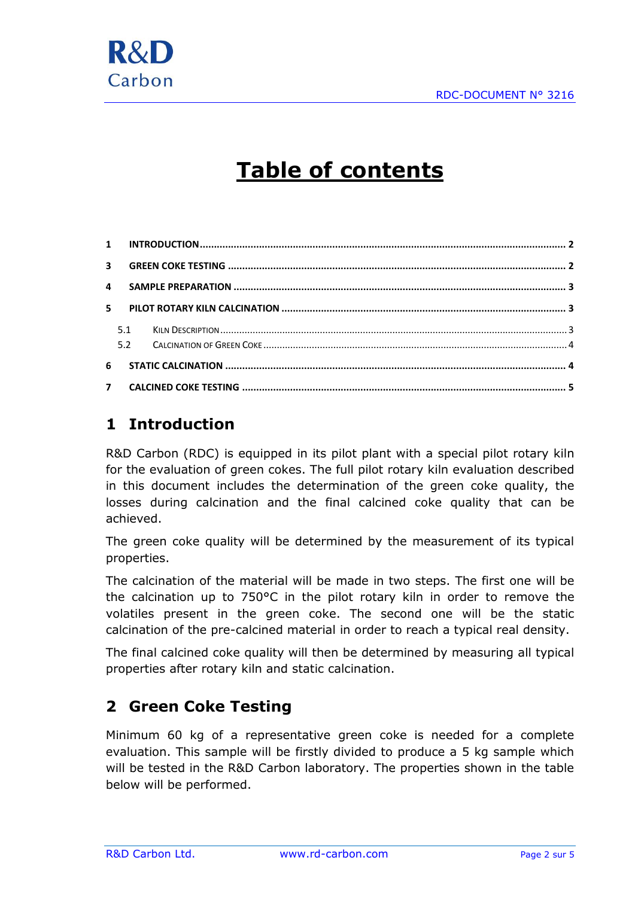

# **Table of contents**

|   | 5   |  |
|---|-----|--|
|   | 5.1 |  |
|   | 5.2 |  |
| 6 |     |  |
|   |     |  |

### <span id="page-1-0"></span>**1 Introduction**

R&D Carbon (RDC) is equipped in its pilot plant with a special pilot rotary kiln for the evaluation of green cokes. The full pilot rotary kiln evaluation described in this document includes the determination of the green coke quality, the losses during calcination and the final calcined coke quality that can be achieved.

The green coke quality will be determined by the measurement of its typical properties.

The calcination of the material will be made in two steps. The first one will be the calcination up to 750°C in the pilot rotary kiln in order to remove the volatiles present in the green coke. The second one will be the static calcination of the pre-calcined material in order to reach a typical real density.

The final calcined coke quality will then be determined by measuring all typical properties after rotary kiln and static calcination.

# <span id="page-1-1"></span>**2 Green Coke Testing**

Minimum 60 kg of a representative green coke is needed for a complete evaluation. This sample will be firstly divided to produce a 5 kg sample which will be tested in the R&D Carbon laboratory. The properties shown in the table below will be performed.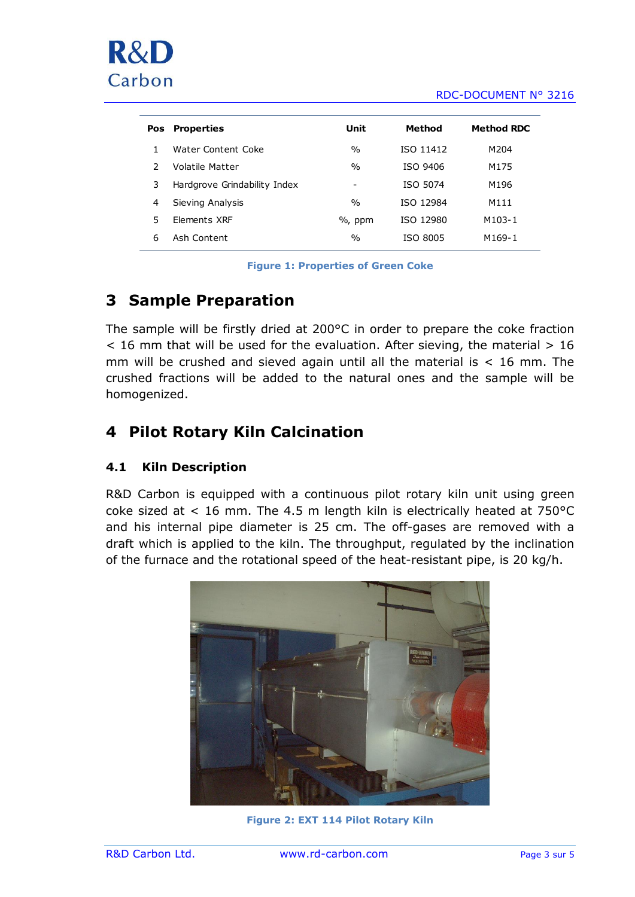#### RDC-DOCUMENT N° 3216

| <b>Pos</b> | <b>Properties</b>            | Unit          | Method           | Method RDC |
|------------|------------------------------|---------------|------------------|------------|
|            | Water Content Coke           | $\frac{0}{0}$ | <b>ISO 11412</b> | M204       |
|            | Volatile Matter              | $\frac{0}{0}$ | ISO 9406         | M175       |
| 3          | Hardgrove Grindability Index | -             | ISO 5074         | M196       |
| 4          | Sieving Analysis             | $\%$          | <b>ISO 12984</b> | M111       |
| 5.         | <b>Flements XRF</b>          | $%$ , ppm     | ISO 12980        | M103-1     |
| 6          | Ash Content                  | $\frac{0}{0}$ | ISO 8005         | M169-1     |
|            |                              |               |                  |            |

**Figure 1: Properties of Green Coke**

#### <span id="page-2-0"></span>**3 Sample Preparation**

The sample will be firstly dried at 200°C in order to prepare the coke fraction  $<$  16 mm that will be used for the evaluation. After sieving, the material  $> 16$ mm will be crushed and sieved again until all the material is  $<$  16 mm. The crushed fractions will be added to the natural ones and the sample will be homogenized.

#### <span id="page-2-1"></span>**4 Pilot Rotary Kiln Calcination**

#### <span id="page-2-2"></span>**4.1 Kiln Description**

R&D Carbon is equipped with a continuous pilot rotary kiln unit using green coke sized at  $\lt 16$  mm. The 4.5 m length kiln is electrically heated at 750 $^{\circ}$ C and his internal pipe diameter is 25 cm. The off-gases are removed with a draft which is applied to the kiln. The throughput, regulated by the inclination of the furnace and the rotational speed of the heat-resistant pipe, is 20 kg/h.



**Figure 2: EXT 114 Pilot Rotary Kiln**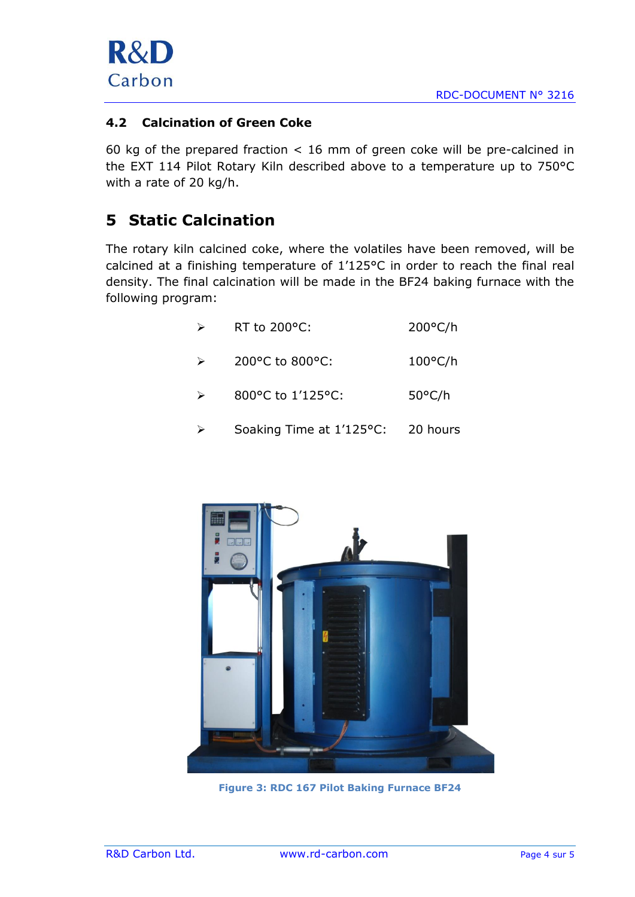

#### <span id="page-3-0"></span>**4.2 Calcination of Green Coke**

60 kg of the prepared fraction < 16 mm of green coke will be pre-calcined in the EXT 114 Pilot Rotary Kiln described above to a temperature up to 750°C with a rate of 20 kg/h.

#### <span id="page-3-1"></span>**5 Static Calcination**

The rotary kiln calcined coke, where the volatiles have been removed, will be calcined at a finishing temperature of 1'125°C in order to reach the final real density. The final calcination will be made in the BF24 baking furnace with the following program:

| $\triangleright$ | RT to 200°C:                          | $200^{\circ}$ C/h |
|------------------|---------------------------------------|-------------------|
| $\triangleright$ | 200 $^{\circ}$ C to 800 $^{\circ}$ C: | $100^{\circ}$ C/h |
| $\triangleright$ | 800°C to 1'125°C:                     | $50^{\circ}$ C/h  |
|                  | Soaking Time at 1'125°C:              | 20 hours          |



**Figure 3: RDC 167 Pilot Baking Furnace BF24**